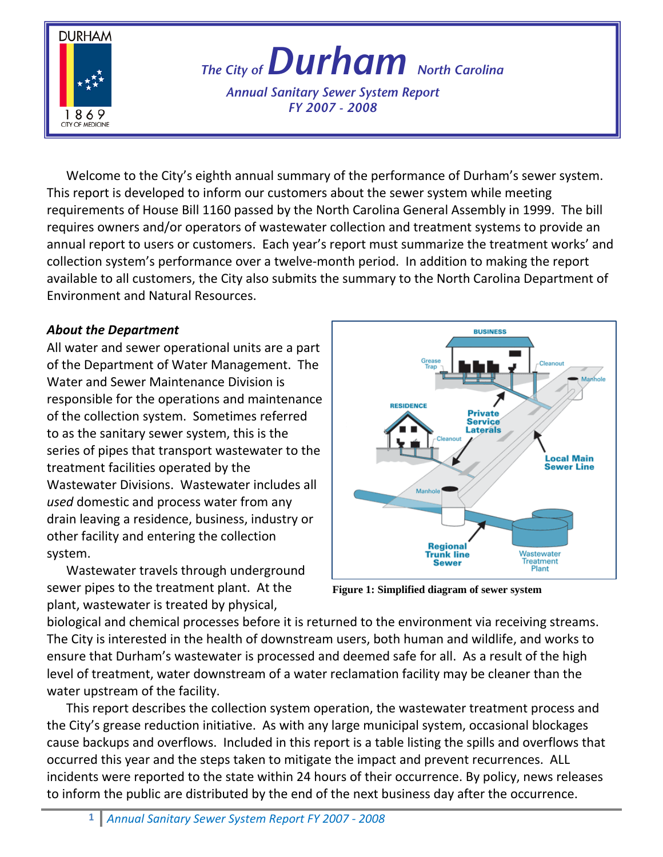

*The City of Durham North Carolina* 

*Annual Sanitary Sewer System Report FY 2007 - 2008*

Welcome to the City's eighth annual summary of the performance of Durham's sewer system. This report is developed to inform our customers about the sewer system while meeting requirements of House Bill 1160 passed by the North Carolina General Assembly in 1999. The bill requires owners and/or operators of wastewater collection and treatment systems to provide an annual report to users or customers. Each year's report must summarize the treatment works' and collection system's performance over a twelve‐month period. In addition to making the report available to all customers, the City also submits the summary to the North Carolina Department of Environment and Natural Resources.

# *About the Department*

All water and sewer operational units are a part of the Department of Water Management. The Water and Sewer Maintenance Division is responsible for the operations and maintenance of the collection system. Sometimes referred to as the sanitary sewer system, this is the series of pipes that transport wastewater to the treatment facilities operated by the Wastewater Divisions. Wastewater includes all *used* domestic and process water from any drain leaving a residence, business, industry or other facility and entering the collection system.





**Figure 1: Simplified diagram of sewer system**

biological and chemical processes before it is returned to the environment via receiving streams. The City is interested in the health of downstream users, both human and wildlife, and works to ensure that Durham's wastewater is processed and deemed safe for all. As a result of the high level of treatment, water downstream of a water reclamation facility may be cleaner than the water upstream of the facility.

This report describes the collection system operation, the wastewater treatment process and the City's grease reduction initiative. As with any large municipal system, occasional blockages cause backups and overflows. Included in this report is a table listing the spills and overflows that occurred this year and the steps taken to mitigate the impact and prevent recurrences. ALL incidents were reported to the state within 24 hours of their occurrence. By policy, news releases to inform the public are distributed by the end of the next business day after the occurrence.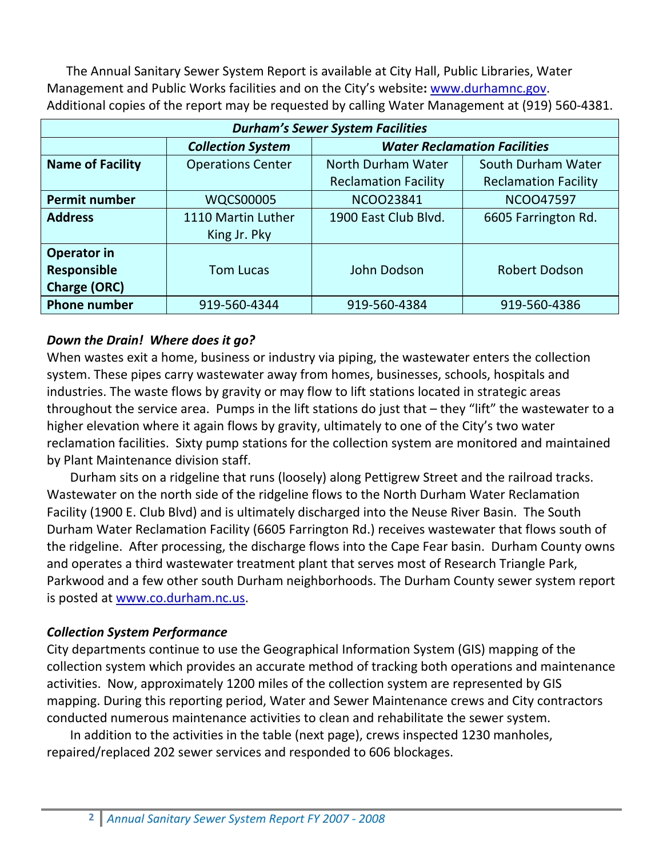The Annual Sanitary Sewer System Report is available at City Hall, Public Libraries, Water Management and Public Works facilities and on the City's website**:** www.durhamnc.gov.  Additional copies of the report may be requested by calling Water Management at (919) 560‐4381.

| <b>Durham's Sewer System Facilities</b> |                          |                                     |                             |  |  |  |
|-----------------------------------------|--------------------------|-------------------------------------|-----------------------------|--|--|--|
|                                         | <b>Collection System</b> | <b>Water Reclamation Facilities</b> |                             |  |  |  |
| <b>Name of Facility</b>                 | <b>Operations Center</b> | North Durham Water                  | South Durham Water          |  |  |  |
|                                         |                          | <b>Reclamation Facility</b>         | <b>Reclamation Facility</b> |  |  |  |
| <b>Permit number</b>                    | <b>WQCS00005</b>         | <b>NCOO23841</b>                    | <b>NCOO47597</b>            |  |  |  |
| <b>Address</b>                          | 1110 Martin Luther       | 1900 East Club Blvd.                | 6605 Farrington Rd.         |  |  |  |
|                                         | King Jr. Pky             |                                     |                             |  |  |  |
| Operator in                             |                          |                                     |                             |  |  |  |
| <b>Responsible</b>                      | <b>Tom Lucas</b>         | John Dodson                         | <b>Robert Dodson</b>        |  |  |  |
| <b>Charge (ORC)</b>                     |                          |                                     |                             |  |  |  |
| <b>Phone number</b>                     | 919-560-4344             | 919-560-4384                        | 919-560-4386                |  |  |  |

## *Down the Drain! Where does it go?*

When wastes exit a home, business or industry via piping, the wastewater enters the collection system. These pipes carry wastewater away from homes, businesses, schools, hospitals and industries. The waste flows by gravity or may flow to lift stations located in strategic areas throughout the service area. Pumps in the lift stations do just that – they "lift" the wastewater to a higher elevation where it again flows by gravity, ultimately to one of the City's two water reclamation facilities. Sixty pump stations for the collection system are monitored and maintained by Plant Maintenance division staff.

Durham sits on a ridgeline that runs (loosely) along Pettigrew Street and the railroad tracks. Wastewater on the north side of the ridgeline flows to the North Durham Water Reclamation Facility (1900 E. Club Blvd) and is ultimately discharged into the Neuse River Basin. The South Durham Water Reclamation Facility (6605 Farrington Rd.) receives wastewater that flows south of the ridgeline. After processing, the discharge flows into the Cape Fear basin. Durham County owns and operates a third wastewater treatment plant that serves most of Research Triangle Park, Parkwood and a few other south Durham neighborhoods. The Durham County sewer system report is posted at www.co.durham.nc.us.

#### *Collection System Performance*

City departments continue to use the Geographical Information System (GIS) mapping of the collection system which provides an accurate method of tracking both operations and maintenance activities. Now, approximately 1200 miles of the collection system are represented by GIS mapping. During this reporting period, Water and Sewer Maintenance crews and City contractors conducted numerous maintenance activities to clean and rehabilitate the sewer system.

In addition to the activities in the table (next page), crews inspected 1230 manholes, repaired/replaced 202 sewer services and responded to 606 blockages.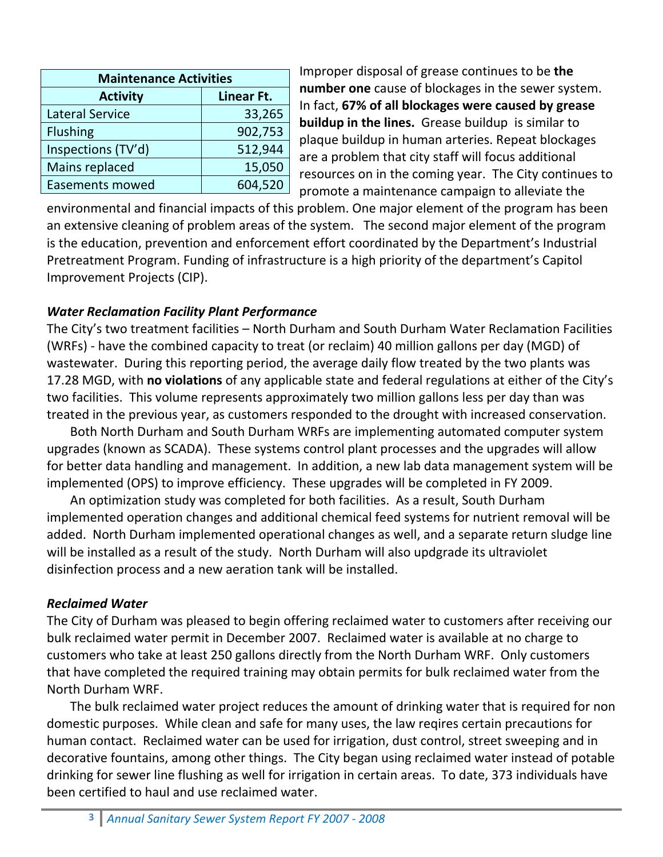| <b>Maintenance Activities</b> |            |  |  |  |  |
|-------------------------------|------------|--|--|--|--|
| <b>Activity</b>               | Linear Ft. |  |  |  |  |
| <b>Lateral Service</b>        | 33,265     |  |  |  |  |
| <b>Flushing</b>               | 902,753    |  |  |  |  |
| Inspections (TV'd)            | 512,944    |  |  |  |  |
| Mains replaced                | 15,050     |  |  |  |  |
| <b>Easements mowed</b>        | 604,520    |  |  |  |  |

Improper disposal of grease continues to be **the number one** cause of blockages in the sewer system. In fact, **67% of all blockages were caused by grease buildup in the lines.** Grease buildup is similar to plaque buildup in human arteries. Repeat blockages are a problem that city staff will focus additional resources on in the coming year. The City continues to promote a maintenance campaign to alleviate the

environmental and financial impacts of this problem. One major element of the program has been an extensive cleaning of problem areas of the system. The second major element of the program is the education, prevention and enforcement effort coordinated by the Department's Industrial Pretreatment Program. Funding of infrastructure is a high priority of the department's Capitol Improvement Projects (CIP).

# *Water Reclamation Facility Plant Performance*

The City's two treatment facilities – North Durham and South Durham Water Reclamation Facilities (WRFs) ‐ have the combined capacity to treat (or reclaim) 40 million gallons per day (MGD) of wastewater. During this reporting period, the average daily flow treated by the two plants was 17.28 MGD, with **no violations** of any applicable state and federal regulations at either of the City's two facilities. This volume represents approximately two million gallons less per day than was treated in the previous year, as customers responded to the drought with increased conservation.

Both North Durham and South Durham WRFs are implementing automated computer system upgrades (known as SCADA). These systems control plant processes and the upgrades will allow for better data handling and management. In addition, a new lab data management system will be implemented (OPS) to improve efficiency. These upgrades will be completed in FY 2009.

An optimization study was completed for both facilities. As a result, South Durham implemented operation changes and additional chemical feed systems for nutrient removal will be added. North Durham implemented operational changes as well, and a separate return sludge line will be installed as a result of the study. North Durham will also updgrade its ultraviolet disinfection process and a new aeration tank will be installed.

#### *Reclaimed Water*

The City of Durham was pleased to begin offering reclaimed water to customers after receiving our bulk reclaimed water permit in December 2007. Reclaimed water is available at no charge to customers who take at least 250 gallons directly from the North Durham WRF. Only customers that have completed the required training may obtain permits for bulk reclaimed water from the North Durham WRF.

The bulk reclaimed water project reduces the amount of drinking water that is required for non domestic purposes. While clean and safe for many uses, the law reqires certain precautions for human contact. Reclaimed water can be used for irrigation, dust control, street sweeping and in decorative fountains, among other things. The City began using reclaimed water instead of potable drinking for sewer line flushing as well for irrigation in certain areas. To date, 373 individuals have been certified to haul and use reclaimed water.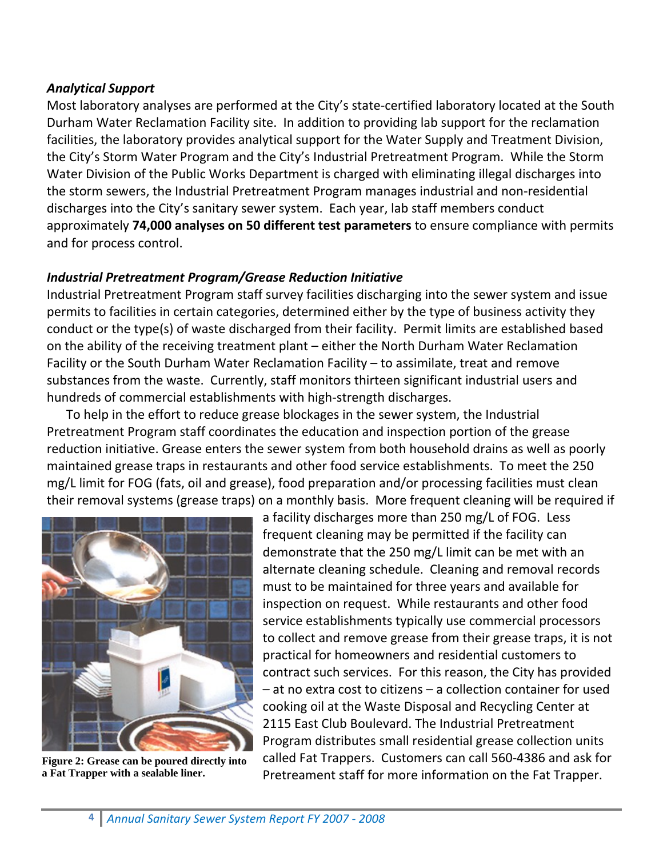## *Analytical Support*

Most laboratory analyses are performed at the City's state‐certified laboratory located at the South Durham Water Reclamation Facility site. In addition to providing lab support for the reclamation facilities, the laboratory provides analytical support for the Water Supply and Treatment Division, the City's Storm Water Program and the City's Industrial Pretreatment Program. While the Storm Water Division of the Public Works Department is charged with eliminating illegal discharges into the storm sewers, the Industrial Pretreatment Program manages industrial and non‐residential discharges into the City's sanitary sewer system. Each year, lab staff members conduct approximately **74,000 analyses on 50 different test parameters** to ensure compliance with permits and for process control.

## *Industrial Pretreatment Program/Grease Reduction Initiative*

Industrial Pretreatment Program staff survey facilities discharging into the sewer system and issue permits to facilities in certain categories, determined either by the type of business activity they conduct or the type(s) of waste discharged from their facility. Permit limits are established based on the ability of the receiving treatment plant – either the North Durham Water Reclamation Facility or the South Durham Water Reclamation Facility – to assimilate, treat and remove substances from the waste. Currently, staff monitors thirteen significant industrial users and hundreds of commercial establishments with high‐strength discharges.

To help in the effort to reduce grease blockages in the sewer system, the Industrial Pretreatment Program staff coordinates the education and inspection portion of the grease reduction initiative. Grease enters the sewer system from both household drains as well as poorly maintained grease traps in restaurants and other food service establishments. To meet the 250 mg/L limit for FOG (fats, oil and grease), food preparation and/or processing facilities must clean their removal systems (grease traps) on a monthly basis. More frequent cleaning will be required if



**Figure 2: Grease can be poured directly into a Fat Trapper with a sealable liner.** 

a facility discharges more than 250 mg/L of FOG. Less frequent cleaning may be permitted if the facility can demonstrate that the 250 mg/L limit can be met with an alternate cleaning schedule. Cleaning and removal records must to be maintained for three years and available for inspection on request. While restaurants and other food service establishments typically use commercial processors to collect and remove grease from their grease traps, it is not practical for homeowners and residential customers to contract such services. For this reason, the City has provided – at no extra cost to citizens – a collection container for used cooking oil at the Waste Disposal and Recycling Center at 2115 East Club Boulevard. The Industrial Pretreatment Program distributes small residential grease collection units called Fat Trappers. Customers can call 560‐4386 and ask for Pretreament staff for more information on the Fat Trapper.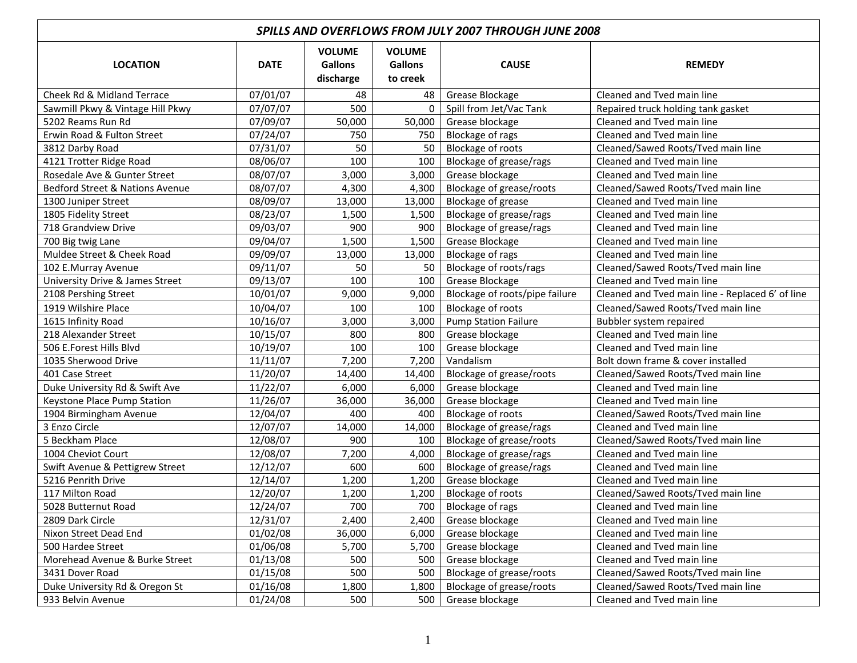| <b>SPILLS AND OVERFLOWS FROM JULY 2007 THROUGH JUNE 2008</b> |             |                                              |                                             |                                |                                                  |  |
|--------------------------------------------------------------|-------------|----------------------------------------------|---------------------------------------------|--------------------------------|--------------------------------------------------|--|
| <b>LOCATION</b>                                              | <b>DATE</b> | <b>VOLUME</b><br><b>Gallons</b><br>discharge | <b>VOLUME</b><br><b>Gallons</b><br>to creek | <b>CAUSE</b>                   | <b>REMEDY</b>                                    |  |
| Cheek Rd & Midland Terrace                                   | 07/01/07    | 48                                           | 48                                          | Grease Blockage                | Cleaned and Tved main line                       |  |
| Sawmill Pkwy & Vintage Hill Pkwy                             | 07/07/07    | 500                                          | $\Omega$                                    | Spill from Jet/Vac Tank        | Repaired truck holding tank gasket               |  |
| 5202 Reams Run Rd                                            | 07/09/07    | 50,000                                       | 50,000                                      | Grease blockage                | Cleaned and Tved main line                       |  |
| Erwin Road & Fulton Street                                   | 07/24/07    | 750                                          | 750                                         | Blockage of rags               | Cleaned and Tved main line                       |  |
| 3812 Darby Road                                              | 07/31/07    | 50                                           | 50                                          | Blockage of roots              | Cleaned/Sawed Roots/Tved main line               |  |
| 4121 Trotter Ridge Road                                      | 08/06/07    | 100                                          | 100                                         | Blockage of grease/rags        | Cleaned and Tved main line                       |  |
| Rosedale Ave & Gunter Street                                 | 08/07/07    | 3,000                                        | 3,000                                       | Grease blockage                | Cleaned and Tyed main line                       |  |
| Bedford Street & Nations Avenue                              | 08/07/07    | 4,300                                        | 4,300                                       | Blockage of grease/roots       | Cleaned/Sawed Roots/Tved main line               |  |
| 1300 Juniper Street                                          | 08/09/07    | 13,000                                       | 13,000                                      | Blockage of grease             | Cleaned and Tved main line                       |  |
| 1805 Fidelity Street                                         | 08/23/07    | 1,500                                        | 1,500                                       | Blockage of grease/rags        | Cleaned and Tved main line                       |  |
| 718 Grandview Drive                                          | 09/03/07    | 900                                          | 900                                         | Blockage of grease/rags        | Cleaned and Tved main line                       |  |
| 700 Big twig Lane                                            | 09/04/07    | 1,500                                        | 1,500                                       | Grease Blockage                | Cleaned and Tved main line                       |  |
| Muldee Street & Cheek Road                                   | 09/09/07    | 13,000                                       | 13,000                                      | Blockage of rags               | Cleaned and Tved main line                       |  |
| 102 E.Murray Avenue                                          | 09/11/07    | 50                                           | 50                                          | Blockage of roots/rags         | Cleaned/Sawed Roots/Tved main line               |  |
| University Drive & James Street                              | 09/13/07    | 100                                          | 100                                         | Grease Blockage                | Cleaned and Tved main line                       |  |
| 2108 Pershing Street                                         | 10/01/07    | 9,000                                        | 9,000                                       | Blockage of roots/pipe failure | Cleaned and Tved main line - Replaced 6' of line |  |
| 1919 Wilshire Place                                          | 10/04/07    | 100                                          | 100                                         | Blockage of roots              | Cleaned/Sawed Roots/Tved main line               |  |
| 1615 Infinity Road                                           | 10/16/07    | 3,000                                        | 3,000                                       | <b>Pump Station Failure</b>    | Bubbler system repaired                          |  |
| 218 Alexander Street                                         | 10/15/07    | 800                                          | 800                                         | Grease blockage                | Cleaned and Tved main line                       |  |
| 506 E.Forest Hills Blvd                                      | 10/19/07    | 100                                          | 100                                         | Grease blockage                | Cleaned and Tved main line                       |  |
| 1035 Sherwood Drive                                          | 11/11/07    | 7,200                                        | 7,200                                       | Vandalism                      | Bolt down frame & cover installed                |  |
| 401 Case Street                                              | 11/20/07    | 14,400                                       | 14,400                                      | Blockage of grease/roots       | Cleaned/Sawed Roots/Tved main line               |  |
| Duke University Rd & Swift Ave                               | 11/22/07    | 6,000                                        | 6,000                                       | Grease blockage                | Cleaned and Tved main line                       |  |
| Keystone Place Pump Station                                  | 11/26/07    | 36,000                                       | 36,000                                      | Grease blockage                | Cleaned and Tved main line                       |  |
| 1904 Birmingham Avenue                                       | 12/04/07    | 400                                          | 400                                         | Blockage of roots              | Cleaned/Sawed Roots/Tved main line               |  |
| 3 Enzo Circle                                                | 12/07/07    | 14,000                                       | 14,000                                      | Blockage of grease/rags        | Cleaned and Tved main line                       |  |
| 5 Beckham Place                                              | 12/08/07    | 900                                          | 100                                         | Blockage of grease/roots       | Cleaned/Sawed Roots/Tved main line               |  |
| 1004 Cheviot Court                                           | 12/08/07    | 7,200                                        | 4,000                                       | Blockage of grease/rags        | Cleaned and Tved main line                       |  |
| Swift Avenue & Pettigrew Street                              | 12/12/07    | 600                                          | 600                                         | Blockage of grease/rags        | Cleaned and Tved main line                       |  |
| 5216 Penrith Drive                                           | 12/14/07    | 1,200                                        | 1,200                                       | Grease blockage                | Cleaned and Tyed main line                       |  |
| 117 Milton Road                                              | 12/20/07    | 1,200                                        | 1,200                                       | Blockage of roots              | Cleaned/Sawed Roots/Tved main line               |  |
| 5028 Butternut Road                                          | 12/24/07    | 700                                          | 700                                         | Blockage of rags               | Cleaned and Tved main line                       |  |
| 2809 Dark Circle                                             | 12/31/07    | 2,400                                        | 2,400                                       | Grease blockage                | Cleaned and Tved main line                       |  |
| Nixon Street Dead End                                        | 01/02/08    | 36,000                                       | 6,000                                       | Grease blockage                | Cleaned and Tved main line                       |  |
| 500 Hardee Street                                            | 01/06/08    | 5,700                                        | 5,700                                       | Grease blockage                | Cleaned and Tved main line                       |  |
| Morehead Avenue & Burke Street                               | 01/13/08    | 500                                          | 500                                         | Grease blockage                | Cleaned and Tved main line                       |  |
| 3431 Dover Road                                              | 01/15/08    | 500                                          | 500                                         | Blockage of grease/roots       | Cleaned/Sawed Roots/Tved main line               |  |
| Duke University Rd & Oregon St                               | 01/16/08    | 1,800                                        | 1,800                                       | Blockage of grease/roots       | Cleaned/Sawed Roots/Tved main line               |  |
| 933 Belvin Avenue                                            | 01/24/08    | 500                                          | 500                                         | Grease blockage                | Cleaned and Tved main line                       |  |